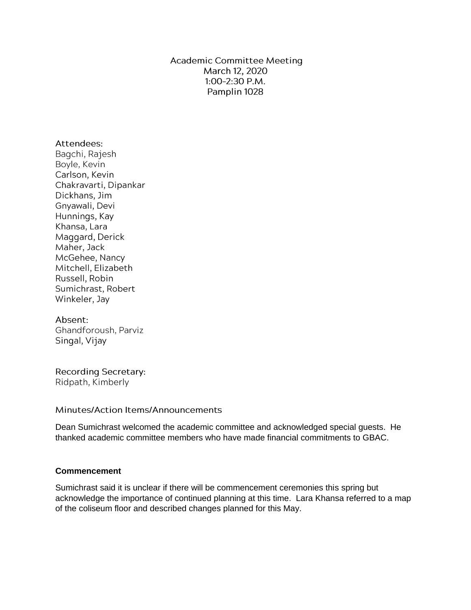**Academic Committee Meeting** March 12, 2020  $1:00-2:30$  P.M. Pamplin 1028

### Attendees:

Bagchi, Rajesh Boyle, Kevin Carlson, Kevin Chakravarti, Dipankar Dickhans, Jim Gnyawali, Devi Hunnings, Kay Khansa, Lara Maggard, Derick Maher, Jack McGehee, Nancy Mitchell, Elizabeth Russell, Robin Sumichrast, Robert Winkeler, Jay

### Absent:

Ghandforoush, Parviz Singal, Vijay

**Recording Secretary:** Ridpath, Kimberly

Minutes/Action Items/Announcements

Dean Sumichrast welcomed the academic committee and acknowledged special guests. He thanked academic committee members who have made financial commitments to GBAC.

# **Commencement**

Sumichrast said it is unclear if there will be commencement ceremonies this spring but acknowledge the importance of continued planning at this time. Lara Khansa referred to a map of the coliseum floor and described changes planned for this May.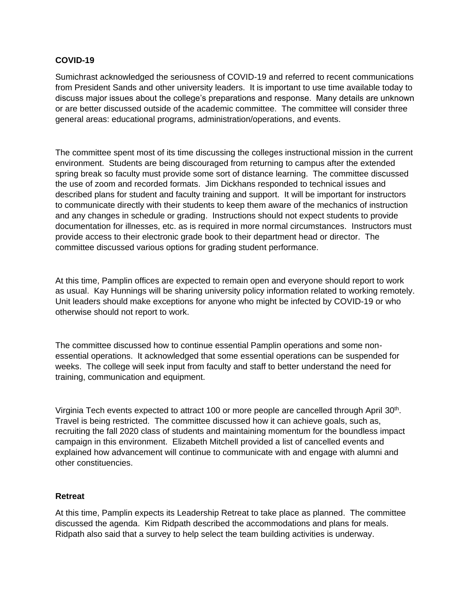### **COVID-19**

Sumichrast acknowledged the seriousness of COVID-19 and referred to recent communications from President Sands and other university leaders. It is important to use time available today to discuss major issues about the college's preparations and response. Many details are unknown or are better discussed outside of the academic committee. The committee will consider three general areas: educational programs, administration/operations, and events.

The committee spent most of its time discussing the colleges instructional mission in the current environment. Students are being discouraged from returning to campus after the extended spring break so faculty must provide some sort of distance learning. The committee discussed the use of zoom and recorded formats. Jim Dickhans responded to technical issues and described plans for student and faculty training and support. It will be important for instructors to communicate directly with their students to keep them aware of the mechanics of instruction and any changes in schedule or grading. Instructions should not expect students to provide documentation for illnesses, etc. as is required in more normal circumstances. Instructors must provide access to their electronic grade book to their department head or director. The committee discussed various options for grading student performance.

At this time, Pamplin offices are expected to remain open and everyone should report to work as usual. Kay Hunnings will be sharing university policy information related to working remotely. Unit leaders should make exceptions for anyone who might be infected by COVID-19 or who otherwise should not report to work.

The committee discussed how to continue essential Pamplin operations and some nonessential operations. It acknowledged that some essential operations can be suspended for weeks. The college will seek input from faculty and staff to better understand the need for training, communication and equipment.

Virginia Tech events expected to attract 100 or more people are cancelled through April 30<sup>th</sup>. Travel is being restricted. The committee discussed how it can achieve goals, such as, recruiting the fall 2020 class of students and maintaining momentum for the boundless impact campaign in this environment. Elizabeth Mitchell provided a list of cancelled events and explained how advancement will continue to communicate with and engage with alumni and other constituencies.

### **Retreat**

At this time, Pamplin expects its Leadership Retreat to take place as planned. The committee discussed the agenda. Kim Ridpath described the accommodations and plans for meals. Ridpath also said that a survey to help select the team building activities is underway.